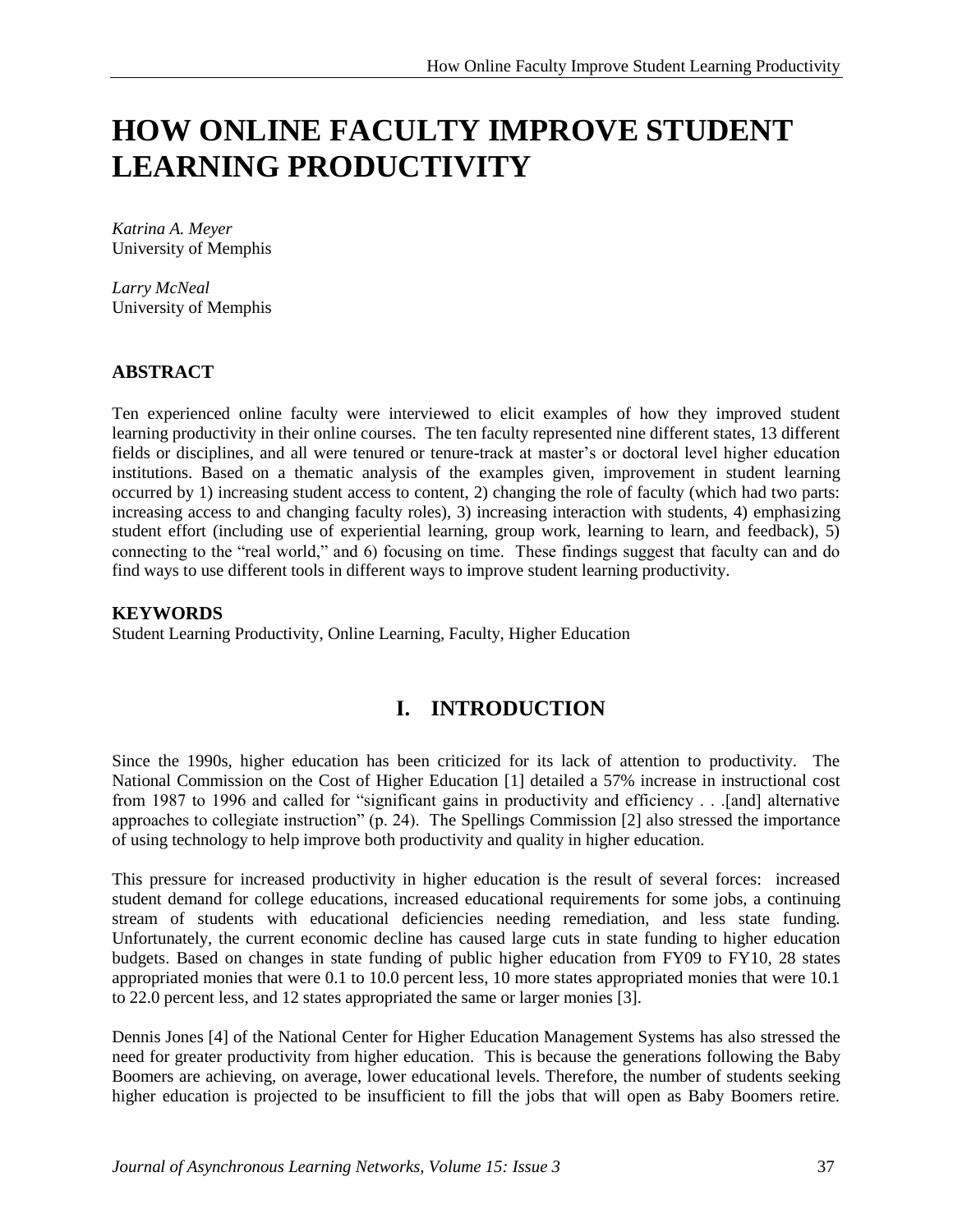# **HOW ONLINE FACULTY IMPROVE STUDENT LEARNING PRODUCTIVITY**

*Katrina A. Meyer* University of Memphis

*Larry McNeal* University of Memphis

### **ABSTRACT**

Ten experienced online faculty were interviewed to elicit examples of how they improved student learning productivity in their online courses. The ten faculty represented nine different states, 13 different fields or disciplines, and all were tenured or tenure-track at master's or doctoral level higher education institutions. Based on a thematic analysis of the examples given, improvement in student learning occurred by 1) increasing student access to content, 2) changing the role of faculty (which had two parts: increasing access to and changing faculty roles), 3) increasing interaction with students, 4) emphasizing student effort (including use of experiential learning, group work, learning to learn, and feedback), 5) connecting to the "real world," and 6) focusing on time. These findings suggest that faculty can and do find ways to use different tools in different ways to improve student learning productivity.

#### **KEYWORDS**

Student Learning Productivity, Online Learning, Faculty, Higher Education

# **I. INTRODUCTION**

Since the 1990s, higher education has been criticized for its lack of attention to productivity. The National Commission on the Cost of Higher Education [1] detailed a 57% increase in instructional cost from 1987 to 1996 and called for "significant gains in productivity and efficiency . . .[and] alternative approaches to collegiate instruction" (p. 24). The Spellings Commission [2] also stressed the importance of using technology to help improve both productivity and quality in higher education.

This pressure for increased productivity in higher education is the result of several forces: increased student demand for college educations, increased educational requirements for some jobs, a continuing stream of students with educational deficiencies needing remediation, and less state funding. Unfortunately, the current economic decline has caused large cuts in state funding to higher education budgets. Based on changes in state funding of public higher education from FY09 to FY10, 28 states appropriated monies that were 0.1 to 10.0 percent less, 10 more states appropriated monies that were 10.1 to 22.0 percent less, and 12 states appropriated the same or larger monies [3].

Dennis Jones [4] of the National Center for Higher Education Management Systems has also stressed the need for greater productivity from higher education. This is because the generations following the Baby Boomers are achieving, on average, lower educational levels. Therefore, the number of students seeking higher education is projected to be insufficient to fill the jobs that will open as Baby Boomers retire.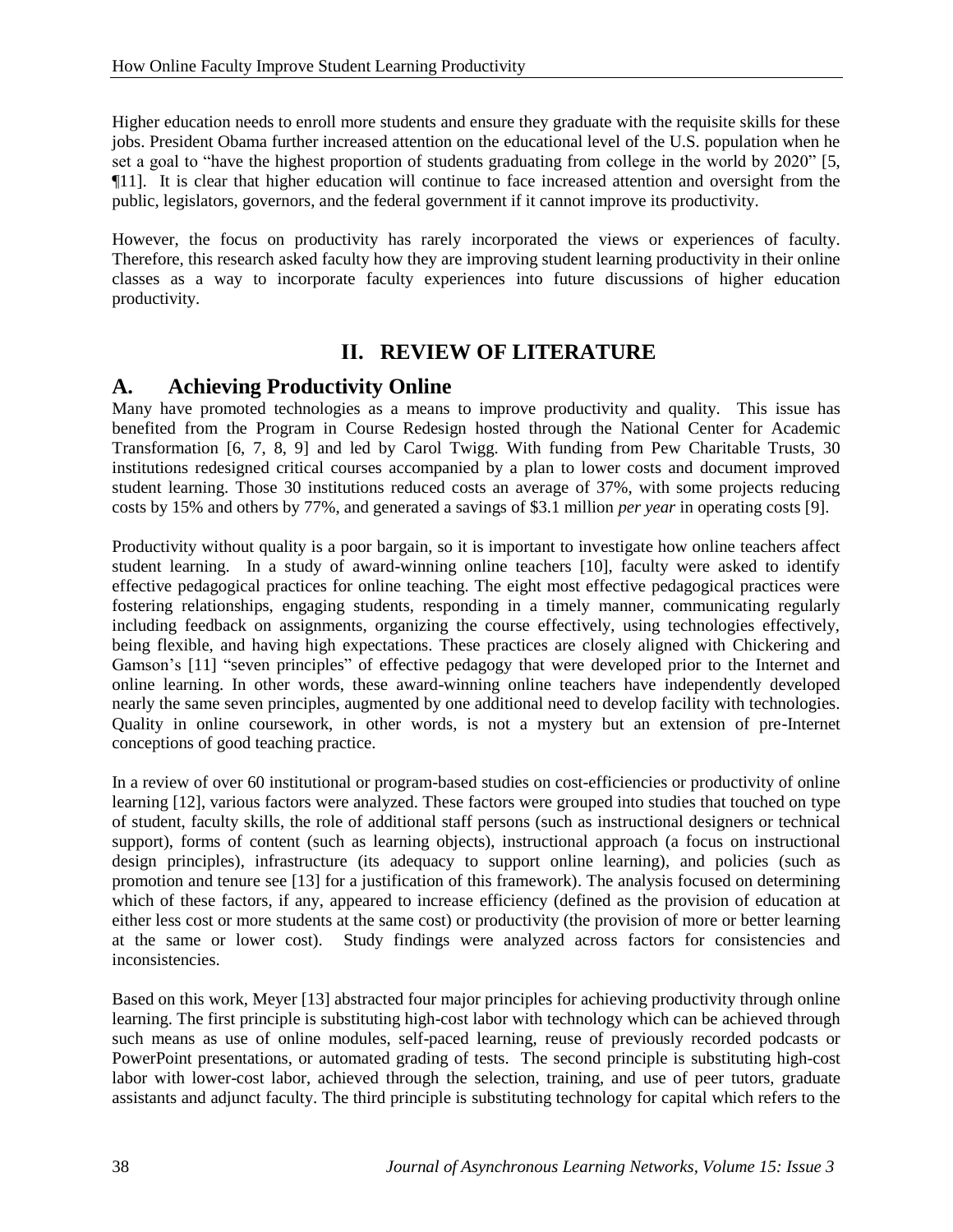Higher education needs to enroll more students and ensure they graduate with the requisite skills for these jobs. President Obama further increased attention on the educational level of the U.S. population when he set a goal to "have the highest proportion of students graduating from college in the world by 2020" [5, ¶11]. It is clear that higher education will continue to face increased attention and oversight from the public, legislators, governors, and the federal government if it cannot improve its productivity.

However, the focus on productivity has rarely incorporated the views or experiences of faculty. Therefore, this research asked faculty how they are improving student learning productivity in their online classes as a way to incorporate faculty experiences into future discussions of higher education productivity.

# **II. REVIEW OF LITERATURE**

### **A. Achieving Productivity Online**

Many have promoted technologies as a means to improve productivity and quality. This issue has benefited from the Program in Course Redesign hosted through the National Center for Academic Transformation [6, 7, 8, 9] and led by Carol Twigg. With funding from Pew Charitable Trusts, 30 institutions redesigned critical courses accompanied by a plan to lower costs and document improved student learning. Those 30 institutions reduced costs an average of 37%, with some projects reducing costs by 15% and others by 77%, and generated a savings of \$3.1 million *per year* in operating costs [9].

Productivity without quality is a poor bargain, so it is important to investigate how online teachers affect student learning. In a study of award-winning online teachers [10], faculty were asked to identify effective pedagogical practices for online teaching. The eight most effective pedagogical practices were fostering relationships, engaging students, responding in a timely manner, communicating regularly including feedback on assignments, organizing the course effectively, using technologies effectively, being flexible, and having high expectations. These practices are closely aligned with Chickering and Gamson's [11] "seven principles" of effective pedagogy that were developed prior to the Internet and online learning. In other words, these award-winning online teachers have independently developed nearly the same seven principles, augmented by one additional need to develop facility with technologies. Quality in online coursework, in other words, is not a mystery but an extension of pre-Internet conceptions of good teaching practice.

In a review of over 60 institutional or program-based studies on cost-efficiencies or productivity of online learning [12], various factors were analyzed. These factors were grouped into studies that touched on type of student, faculty skills, the role of additional staff persons (such as instructional designers or technical support), forms of content (such as learning objects), instructional approach (a focus on instructional design principles), infrastructure (its adequacy to support online learning), and policies (such as promotion and tenure see [13] for a justification of this framework). The analysis focused on determining which of these factors, if any, appeared to increase efficiency (defined as the provision of education at either less cost or more students at the same cost) or productivity (the provision of more or better learning at the same or lower cost). Study findings were analyzed across factors for consistencies and inconsistencies.

Based on this work, Meyer [13] abstracted four major principles for achieving productivity through online learning. The first principle is substituting high-cost labor with technology which can be achieved through such means as use of online modules, self-paced learning, reuse of previously recorded podcasts or PowerPoint presentations, or automated grading of tests. The second principle is substituting high-cost labor with lower-cost labor, achieved through the selection, training, and use of peer tutors, graduate assistants and adjunct faculty. The third principle is substituting technology for capital which refers to the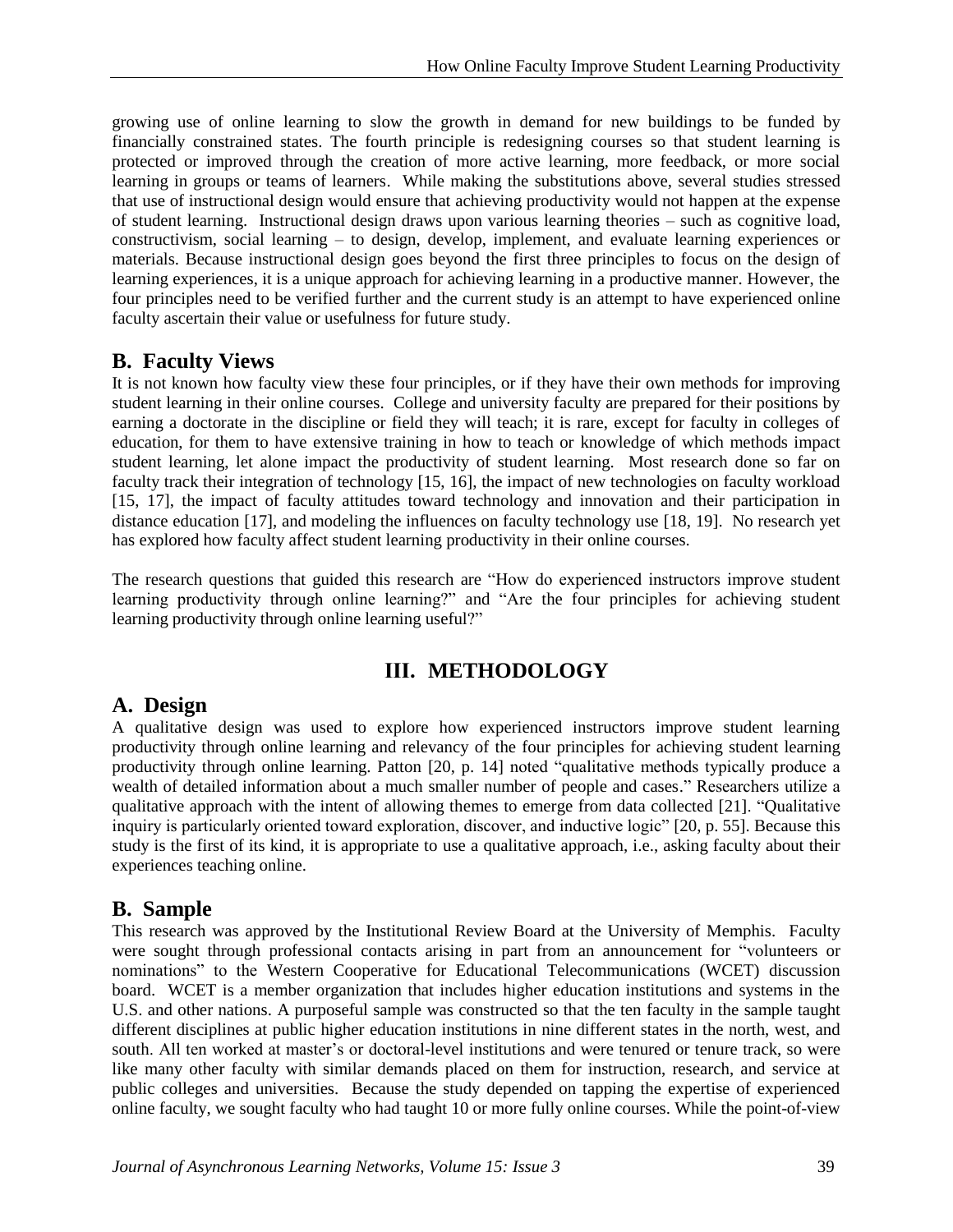growing use of online learning to slow the growth in demand for new buildings to be funded by financially constrained states. The fourth principle is redesigning courses so that student learning is protected or improved through the creation of more active learning, more feedback, or more social learning in groups or teams of learners. While making the substitutions above, several studies stressed that use of instructional design would ensure that achieving productivity would not happen at the expense of student learning. Instructional design draws upon various learning theories – such as cognitive load, constructivism, social learning – to design, develop, implement, and evaluate learning experiences or materials. Because instructional design goes beyond the first three principles to focus on the design of learning experiences, it is a unique approach for achieving learning in a productive manner. However, the four principles need to be verified further and the current study is an attempt to have experienced online faculty ascertain their value or usefulness for future study.

### **B. Faculty Views**

It is not known how faculty view these four principles, or if they have their own methods for improving student learning in their online courses. College and university faculty are prepared for their positions by earning a doctorate in the discipline or field they will teach; it is rare, except for faculty in colleges of education, for them to have extensive training in how to teach or knowledge of which methods impact student learning, let alone impact the productivity of student learning. Most research done so far on faculty track their integration of technology [15, 16], the impact of new technologies on faculty workload [15, 17], the impact of faculty attitudes toward technology and innovation and their participation in distance education [17], and modeling the influences on faculty technology use [18, 19]. No research yet has explored how faculty affect student learning productivity in their online courses.

The research questions that guided this research are "How do experienced instructors improve student learning productivity through online learning?" and "Are the four principles for achieving student learning productivity through online learning useful?"

# **III. METHODOLOGY**

# **A. Design**

A qualitative design was used to explore how experienced instructors improve student learning productivity through online learning and relevancy of the four principles for achieving student learning productivity through online learning. Patton [20, p. 14] noted "qualitative methods typically produce a wealth of detailed information about a much smaller number of people and cases." Researchers utilize a qualitative approach with the intent of allowing themes to emerge from data collected [21]. "Qualitative inquiry is particularly oriented toward exploration, discover, and inductive logic" [20, p. 55]. Because this study is the first of its kind, it is appropriate to use a qualitative approach, i.e., asking faculty about their experiences teaching online.

# **B. Sample**

This research was approved by the Institutional Review Board at the University of Memphis. Faculty were sought through professional contacts arising in part from an announcement for "volunteers or nominations" to the Western Cooperative for Educational Telecommunications (WCET) discussion board. WCET is a member organization that includes higher education institutions and systems in the U.S. and other nations. A purposeful sample was constructed so that the ten faculty in the sample taught different disciplines at public higher education institutions in nine different states in the north, west, and south. All ten worked at master's or doctoral-level institutions and were tenured or tenure track, so were like many other faculty with similar demands placed on them for instruction, research, and service at public colleges and universities. Because the study depended on tapping the expertise of experienced online faculty, we sought faculty who had taught 10 or more fully online courses. While the point-of-view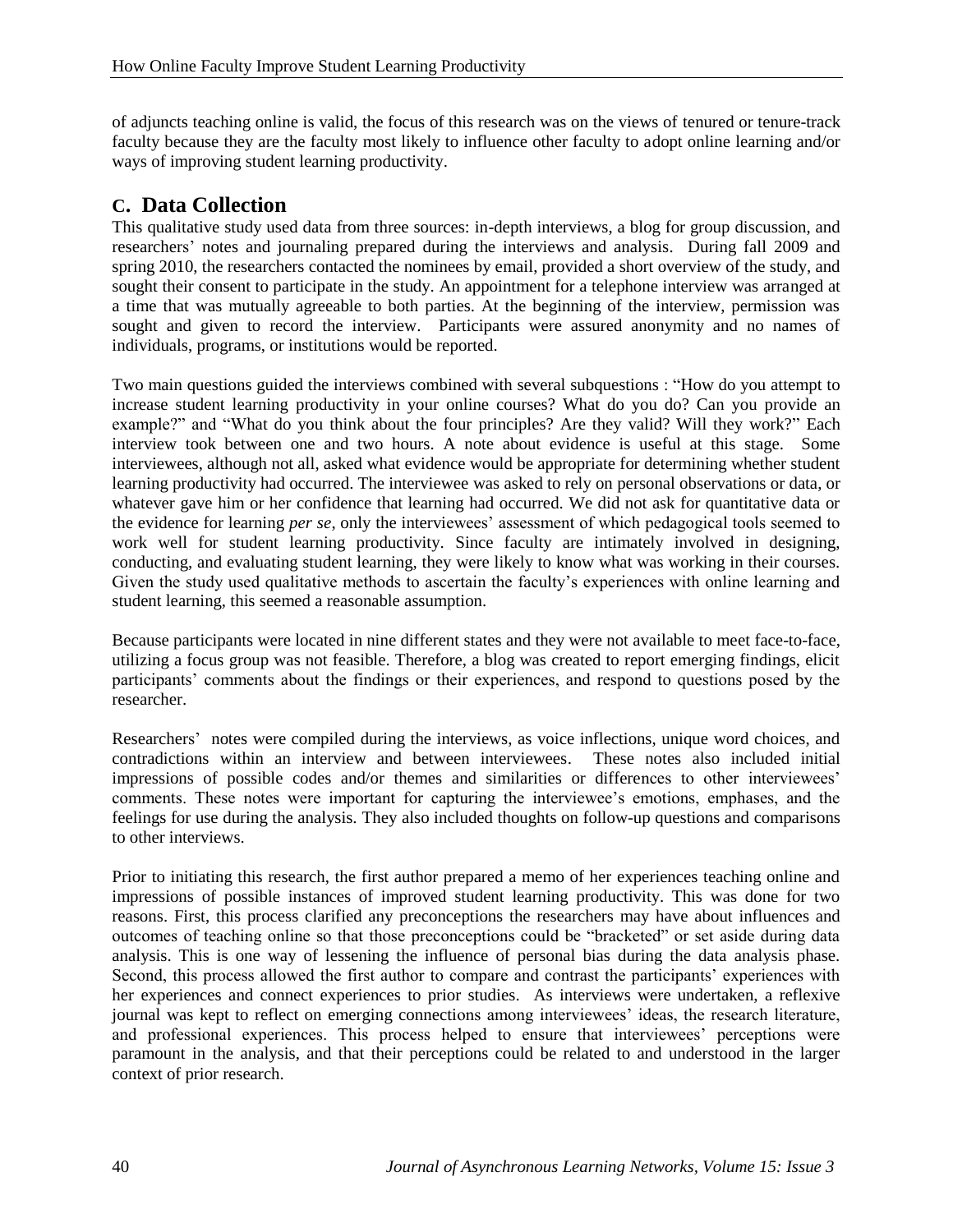of adjuncts teaching online is valid, the focus of this research was on the views of tenured or tenure-track faculty because they are the faculty most likely to influence other faculty to adopt online learning and/or ways of improving student learning productivity.

### **C. Data Collection**

This qualitative study used data from three sources: in-depth interviews, a blog for group discussion, and researchers' notes and journaling prepared during the interviews and analysis. During fall 2009 and spring 2010, the researchers contacted the nominees by email, provided a short overview of the study, and sought their consent to participate in the study. An appointment for a telephone interview was arranged at a time that was mutually agreeable to both parties. At the beginning of the interview, permission was sought and given to record the interview. Participants were assured anonymity and no names of individuals, programs, or institutions would be reported.

Two main questions guided the interviews combined with several subquestions : "How do you attempt to increase student learning productivity in your online courses? What do you do? Can you provide an example?" and "What do you think about the four principles? Are they valid? Will they work?" Each interview took between one and two hours. A note about evidence is useful at this stage. Some interviewees, although not all, asked what evidence would be appropriate for determining whether student learning productivity had occurred. The interviewee was asked to rely on personal observations or data, or whatever gave him or her confidence that learning had occurred. We did not ask for quantitative data or the evidence for learning *per se*, only the interviewees' assessment of which pedagogical tools seemed to work well for student learning productivity. Since faculty are intimately involved in designing, conducting, and evaluating student learning, they were likely to know what was working in their courses. Given the study used qualitative methods to ascertain the faculty's experiences with online learning and student learning, this seemed a reasonable assumption.

Because participants were located in nine different states and they were not available to meet face-to-face, utilizing a focus group was not feasible. Therefore, a blog was created to report emerging findings, elicit participants' comments about the findings or their experiences, and respond to questions posed by the researcher.

Researchers' notes were compiled during the interviews, as voice inflections, unique word choices, and contradictions within an interview and between interviewees. These notes also included initial impressions of possible codes and/or themes and similarities or differences to other interviewees' comments. These notes were important for capturing the interviewee's emotions, emphases, and the feelings for use during the analysis. They also included thoughts on follow-up questions and comparisons to other interviews.

Prior to initiating this research, the first author prepared a memo of her experiences teaching online and impressions of possible instances of improved student learning productivity. This was done for two reasons. First, this process clarified any preconceptions the researchers may have about influences and outcomes of teaching online so that those preconceptions could be "bracketed" or set aside during data analysis. This is one way of lessening the influence of personal bias during the data analysis phase. Second, this process allowed the first author to compare and contrast the participants' experiences with her experiences and connect experiences to prior studies. As interviews were undertaken, a reflexive journal was kept to reflect on emerging connections among interviewees' ideas, the research literature, and professional experiences. This process helped to ensure that interviewees' perceptions were paramount in the analysis, and that their perceptions could be related to and understood in the larger context of prior research.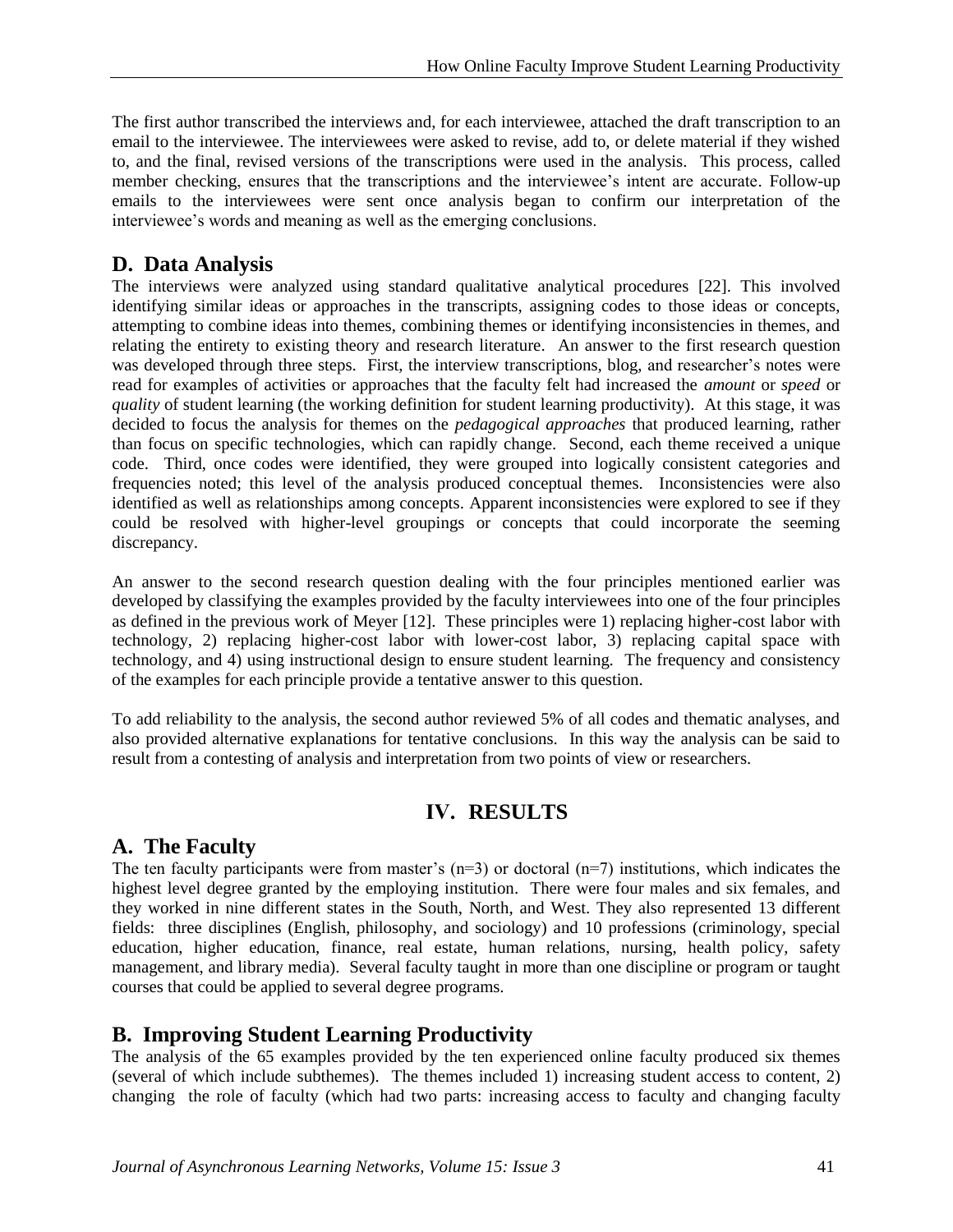The first author transcribed the interviews and, for each interviewee, attached the draft transcription to an email to the interviewee. The interviewees were asked to revise, add to, or delete material if they wished to, and the final, revised versions of the transcriptions were used in the analysis. This process, called member checking, ensures that the transcriptions and the interviewee's intent are accurate. Follow-up emails to the interviewees were sent once analysis began to confirm our interpretation of the interviewee's words and meaning as well as the emerging conclusions.

### **D. Data Analysis**

The interviews were analyzed using standard qualitative analytical procedures [22]. This involved identifying similar ideas or approaches in the transcripts, assigning codes to those ideas or concepts, attempting to combine ideas into themes, combining themes or identifying inconsistencies in themes, and relating the entirety to existing theory and research literature. An answer to the first research question was developed through three steps. First, the interview transcriptions, blog, and researcher's notes were read for examples of activities or approaches that the faculty felt had increased the *amount* or *speed* or *quality* of student learning (the working definition for student learning productivity). At this stage, it was decided to focus the analysis for themes on the *pedagogical approaches* that produced learning, rather than focus on specific technologies, which can rapidly change. Second, each theme received a unique code. Third, once codes were identified, they were grouped into logically consistent categories and frequencies noted; this level of the analysis produced conceptual themes. Inconsistencies were also identified as well as relationships among concepts. Apparent inconsistencies were explored to see if they could be resolved with higher-level groupings or concepts that could incorporate the seeming discrepancy.

An answer to the second research question dealing with the four principles mentioned earlier was developed by classifying the examples provided by the faculty interviewees into one of the four principles as defined in the previous work of Meyer [12]. These principles were 1) replacing higher-cost labor with technology, 2) replacing higher-cost labor with lower-cost labor, 3) replacing capital space with technology, and 4) using instructional design to ensure student learning. The frequency and consistency of the examples for each principle provide a tentative answer to this question.

To add reliability to the analysis, the second author reviewed 5% of all codes and thematic analyses, and also provided alternative explanations for tentative conclusions. In this way the analysis can be said to result from a contesting of analysis and interpretation from two points of view or researchers.

# **IV. RESULTS**

# **A. The Faculty**

The ten faculty participants were from master's  $(n=3)$  or doctoral  $(n=7)$  institutions, which indicates the highest level degree granted by the employing institution. There were four males and six females, and they worked in nine different states in the South, North, and West. They also represented 13 different fields: three disciplines (English, philosophy, and sociology) and 10 professions (criminology, special education, higher education, finance, real estate, human relations, nursing, health policy, safety management, and library media). Several faculty taught in more than one discipline or program or taught courses that could be applied to several degree programs.

# **B. Improving Student Learning Productivity**

The analysis of the 65 examples provided by the ten experienced online faculty produced six themes (several of which include subthemes). The themes included 1) increasing student access to content, 2) changing the role of faculty (which had two parts: increasing access to faculty and changing faculty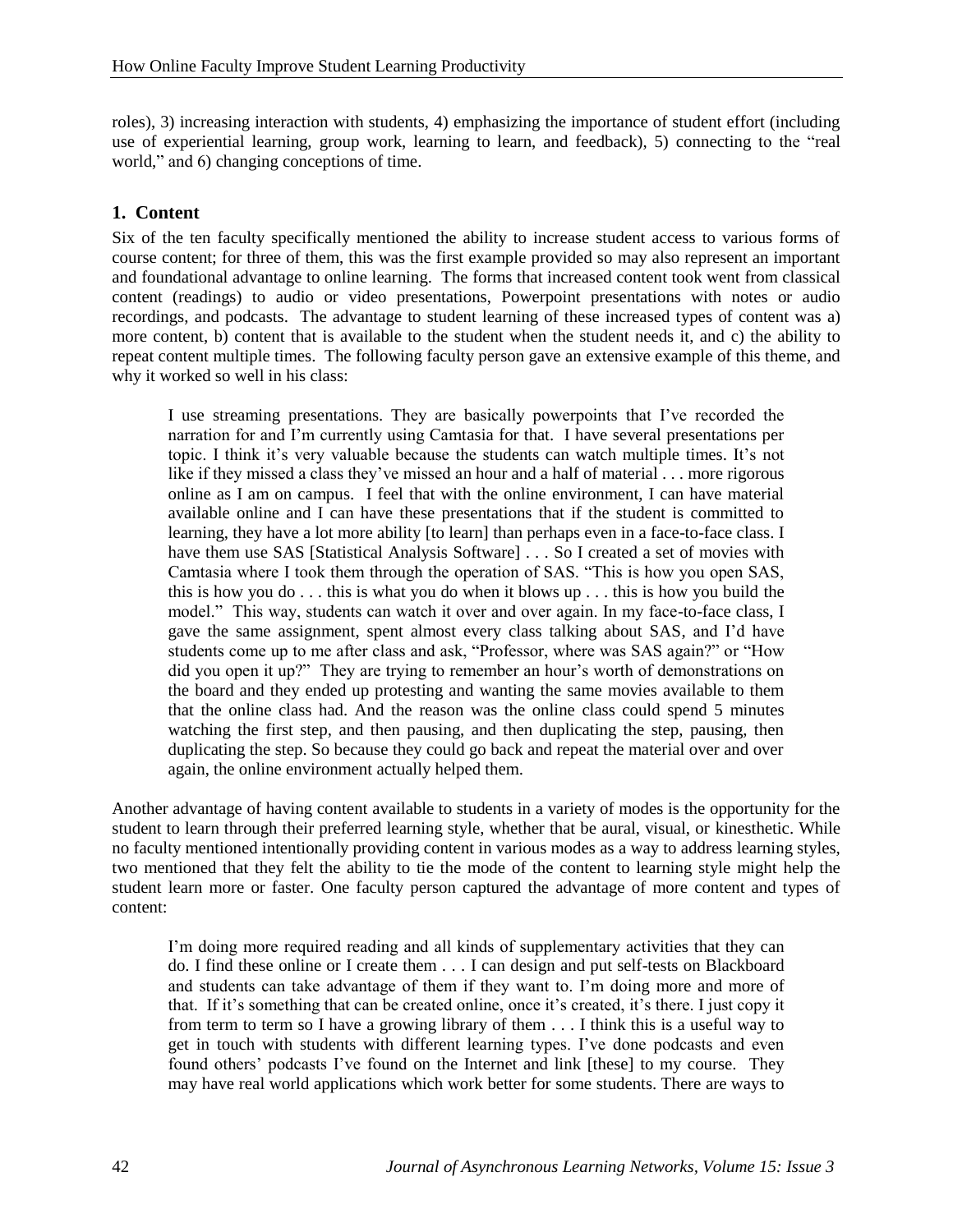roles), 3) increasing interaction with students, 4) emphasizing the importance of student effort (including use of experiential learning, group work, learning to learn, and feedback), 5) connecting to the "real world," and 6) changing conceptions of time.

### **1. Content**

Six of the ten faculty specifically mentioned the ability to increase student access to various forms of course content; for three of them, this was the first example provided so may also represent an important and foundational advantage to online learning. The forms that increased content took went from classical content (readings) to audio or video presentations, Powerpoint presentations with notes or audio recordings, and podcasts. The advantage to student learning of these increased types of content was a) more content, b) content that is available to the student when the student needs it, and c) the ability to repeat content multiple times. The following faculty person gave an extensive example of this theme, and why it worked so well in his class:

I use streaming presentations. They are basically powerpoints that I've recorded the narration for and I'm currently using Camtasia for that. I have several presentations per topic. I think it's very valuable because the students can watch multiple times. It's not like if they missed a class they've missed an hour and a half of material . . . more rigorous online as I am on campus. I feel that with the online environment, I can have material available online and I can have these presentations that if the student is committed to learning, they have a lot more ability [to learn] than perhaps even in a face-to-face class. I have them use SAS [Statistical Analysis Software] . . . So I created a set of movies with Camtasia where I took them through the operation of SAS. "This is how you open SAS, this is how you do . . . this is what you do when it blows up . . . this is how you build the model." This way, students can watch it over and over again. In my face-to-face class, I gave the same assignment, spent almost every class talking about SAS, and I'd have students come up to me after class and ask, "Professor, where was SAS again?" or "How did you open it up?" They are trying to remember an hour's worth of demonstrations on the board and they ended up protesting and wanting the same movies available to them that the online class had. And the reason was the online class could spend 5 minutes watching the first step, and then pausing, and then duplicating the step, pausing, then duplicating the step. So because they could go back and repeat the material over and over again, the online environment actually helped them.

Another advantage of having content available to students in a variety of modes is the opportunity for the student to learn through their preferred learning style, whether that be aural, visual, or kinesthetic. While no faculty mentioned intentionally providing content in various modes as a way to address learning styles, two mentioned that they felt the ability to tie the mode of the content to learning style might help the student learn more or faster. One faculty person captured the advantage of more content and types of content:

I'm doing more required reading and all kinds of supplementary activities that they can do. I find these online or I create them . . . I can design and put self-tests on Blackboard and students can take advantage of them if they want to. I'm doing more and more of that. If it's something that can be created online, once it's created, it's there. I just copy it from term to term so I have a growing library of them . . . I think this is a useful way to get in touch with students with different learning types. I've done podcasts and even found others' podcasts I've found on the Internet and link [these] to my course. They may have real world applications which work better for some students. There are ways to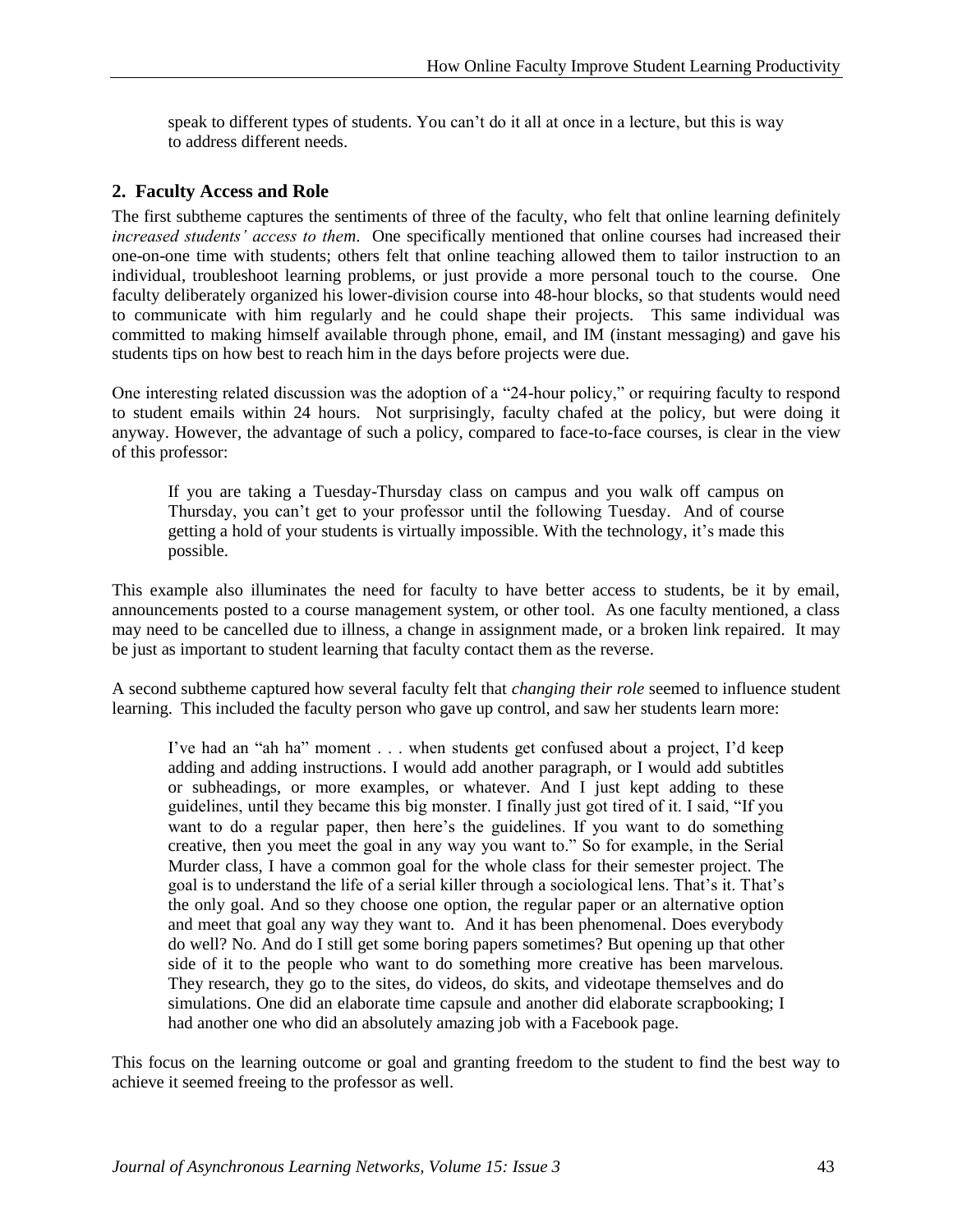speak to different types of students. You can't do it all at once in a lecture, but this is way to address different needs.

#### **2. Faculty Access and Role**

The first subtheme captures the sentiments of three of the faculty, who felt that online learning definitely *increased students' access to them*. One specifically mentioned that online courses had increased their one-on-one time with students; others felt that online teaching allowed them to tailor instruction to an individual, troubleshoot learning problems, or just provide a more personal touch to the course. One faculty deliberately organized his lower-division course into 48-hour blocks, so that students would need to communicate with him regularly and he could shape their projects. This same individual was committed to making himself available through phone, email, and IM (instant messaging) and gave his students tips on how best to reach him in the days before projects were due.

One interesting related discussion was the adoption of a "24-hour policy," or requiring faculty to respond to student emails within 24 hours. Not surprisingly, faculty chafed at the policy, but were doing it anyway. However, the advantage of such a policy, compared to face-to-face courses, is clear in the view of this professor:

If you are taking a Tuesday-Thursday class on campus and you walk off campus on Thursday, you can't get to your professor until the following Tuesday. And of course getting a hold of your students is virtually impossible. With the technology, it's made this possible.

This example also illuminates the need for faculty to have better access to students, be it by email, announcements posted to a course management system, or other tool. As one faculty mentioned, a class may need to be cancelled due to illness, a change in assignment made, or a broken link repaired. It may be just as important to student learning that faculty contact them as the reverse.

A second subtheme captured how several faculty felt that *changing their role* seemed to influence student learning. This included the faculty person who gave up control, and saw her students learn more:

I've had an "ah ha" moment . . . when students get confused about a project, I'd keep adding and adding instructions. I would add another paragraph, or I would add subtitles or subheadings, or more examples, or whatever. And I just kept adding to these guidelines, until they became this big monster. I finally just got tired of it. I said, "If you want to do a regular paper, then here's the guidelines. If you want to do something creative, then you meet the goal in any way you want to." So for example, in the Serial Murder class, I have a common goal for the whole class for their semester project. The goal is to understand the life of a serial killer through a sociological lens. That's it. That's the only goal. And so they choose one option, the regular paper or an alternative option and meet that goal any way they want to. And it has been phenomenal. Does everybody do well? No. And do I still get some boring papers sometimes? But opening up that other side of it to the people who want to do something more creative has been marvelous. They research, they go to the sites, do videos, do skits, and videotape themselves and do simulations. One did an elaborate time capsule and another did elaborate scrapbooking; I had another one who did an absolutely amazing job with a Facebook page.

This focus on the learning outcome or goal and granting freedom to the student to find the best way to achieve it seemed freeing to the professor as well.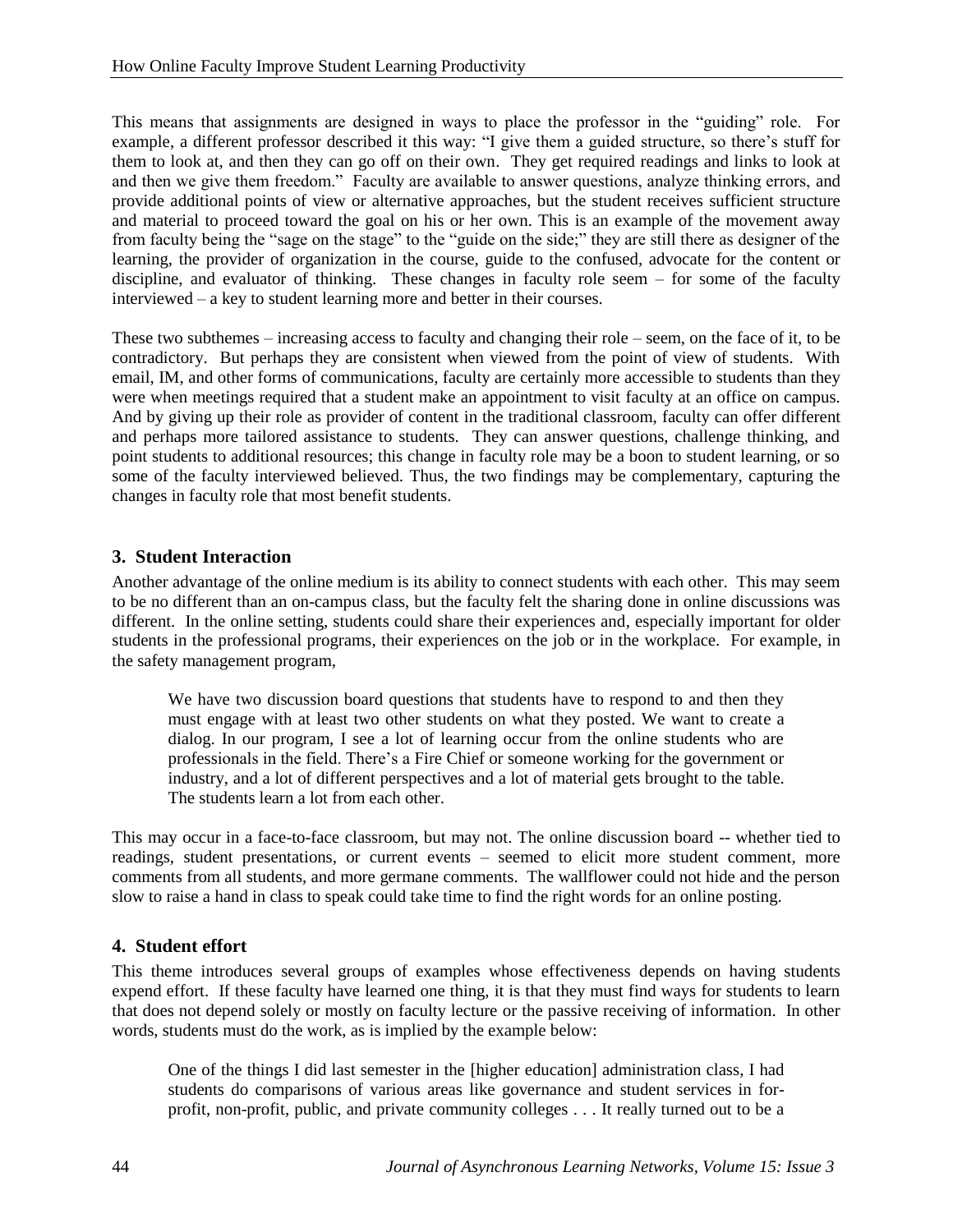This means that assignments are designed in ways to place the professor in the "guiding" role. For example, a different professor described it this way: "I give them a guided structure, so there's stuff for them to look at, and then they can go off on their own. They get required readings and links to look at and then we give them freedom." Faculty are available to answer questions, analyze thinking errors, and provide additional points of view or alternative approaches, but the student receives sufficient structure and material to proceed toward the goal on his or her own. This is an example of the movement away from faculty being the "sage on the stage" to the "guide on the side;" they are still there as designer of the learning, the provider of organization in the course, guide to the confused, advocate for the content or discipline, and evaluator of thinking. These changes in faculty role seem – for some of the faculty interviewed – a key to student learning more and better in their courses.

These two subthemes – increasing access to faculty and changing their role – seem, on the face of it, to be contradictory. But perhaps they are consistent when viewed from the point of view of students. With email, IM, and other forms of communications, faculty are certainly more accessible to students than they were when meetings required that a student make an appointment to visit faculty at an office on campus. And by giving up their role as provider of content in the traditional classroom, faculty can offer different and perhaps more tailored assistance to students. They can answer questions, challenge thinking, and point students to additional resources; this change in faculty role may be a boon to student learning, or so some of the faculty interviewed believed. Thus, the two findings may be complementary, capturing the changes in faculty role that most benefit students.

#### **3. Student Interaction**

Another advantage of the online medium is its ability to connect students with each other. This may seem to be no different than an on-campus class, but the faculty felt the sharing done in online discussions was different. In the online setting, students could share their experiences and, especially important for older students in the professional programs, their experiences on the job or in the workplace. For example, in the safety management program,

We have two discussion board questions that students have to respond to and then they must engage with at least two other students on what they posted. We want to create a dialog. In our program, I see a lot of learning occur from the online students who are professionals in the field. There's a Fire Chief or someone working for the government or industry, and a lot of different perspectives and a lot of material gets brought to the table. The students learn a lot from each other.

This may occur in a face-to-face classroom, but may not. The online discussion board -- whether tied to readings, student presentations, or current events – seemed to elicit more student comment, more comments from all students, and more germane comments. The wallflower could not hide and the person slow to raise a hand in class to speak could take time to find the right words for an online posting.

#### **4. Student effort**

This theme introduces several groups of examples whose effectiveness depends on having students expend effort. If these faculty have learned one thing, it is that they must find ways for students to learn that does not depend solely or mostly on faculty lecture or the passive receiving of information. In other words, students must do the work, as is implied by the example below:

One of the things I did last semester in the [higher education] administration class, I had students do comparisons of various areas like governance and student services in forprofit, non-profit, public, and private community colleges . . . It really turned out to be a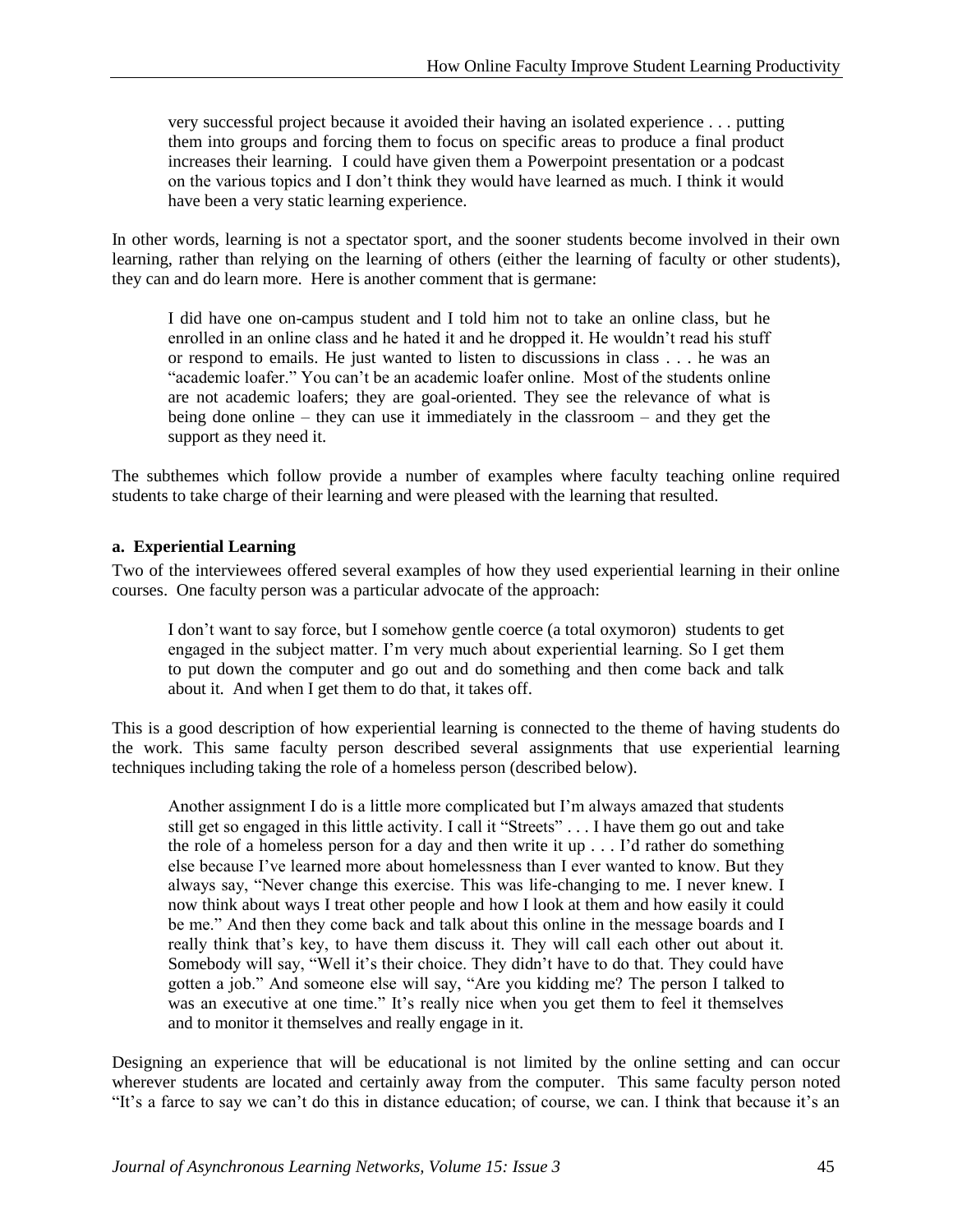very successful project because it avoided their having an isolated experience . . . putting them into groups and forcing them to focus on specific areas to produce a final product increases their learning. I could have given them a Powerpoint presentation or a podcast on the various topics and I don't think they would have learned as much. I think it would have been a very static learning experience.

In other words, learning is not a spectator sport, and the sooner students become involved in their own learning, rather than relying on the learning of others (either the learning of faculty or other students), they can and do learn more. Here is another comment that is germane:

I did have one on-campus student and I told him not to take an online class, but he enrolled in an online class and he hated it and he dropped it. He wouldn't read his stuff or respond to emails. He just wanted to listen to discussions in class . . . he was an "academic loafer." You can't be an academic loafer online. Most of the students online are not academic loafers; they are goal-oriented. They see the relevance of what is being done online – they can use it immediately in the classroom – and they get the support as they need it.

The subthemes which follow provide a number of examples where faculty teaching online required students to take charge of their learning and were pleased with the learning that resulted.

#### **a. Experiential Learning**

Two of the interviewees offered several examples of how they used experiential learning in their online courses. One faculty person was a particular advocate of the approach:

I don't want to say force, but I somehow gentle coerce (a total oxymoron) students to get engaged in the subject matter. I'm very much about experiential learning. So I get them to put down the computer and go out and do something and then come back and talk about it. And when I get them to do that, it takes off.

This is a good description of how experiential learning is connected to the theme of having students do the work. This same faculty person described several assignments that use experiential learning techniques including taking the role of a homeless person (described below).

Another assignment I do is a little more complicated but I'm always amazed that students still get so engaged in this little activity. I call it "Streets" . . . I have them go out and take the role of a homeless person for a day and then write it up . . . I'd rather do something else because I've learned more about homelessness than I ever wanted to know. But they always say, "Never change this exercise. This was life-changing to me. I never knew. I now think about ways I treat other people and how I look at them and how easily it could be me." And then they come back and talk about this online in the message boards and I really think that's key, to have them discuss it. They will call each other out about it. Somebody will say, "Well it's their choice. They didn't have to do that. They could have gotten a job." And someone else will say, "Are you kidding me? The person I talked to was an executive at one time." It's really nice when you get them to feel it themselves and to monitor it themselves and really engage in it.

Designing an experience that will be educational is not limited by the online setting and can occur wherever students are located and certainly away from the computer. This same faculty person noted "It's a farce to say we can't do this in distance education; of course, we can. I think that because it's an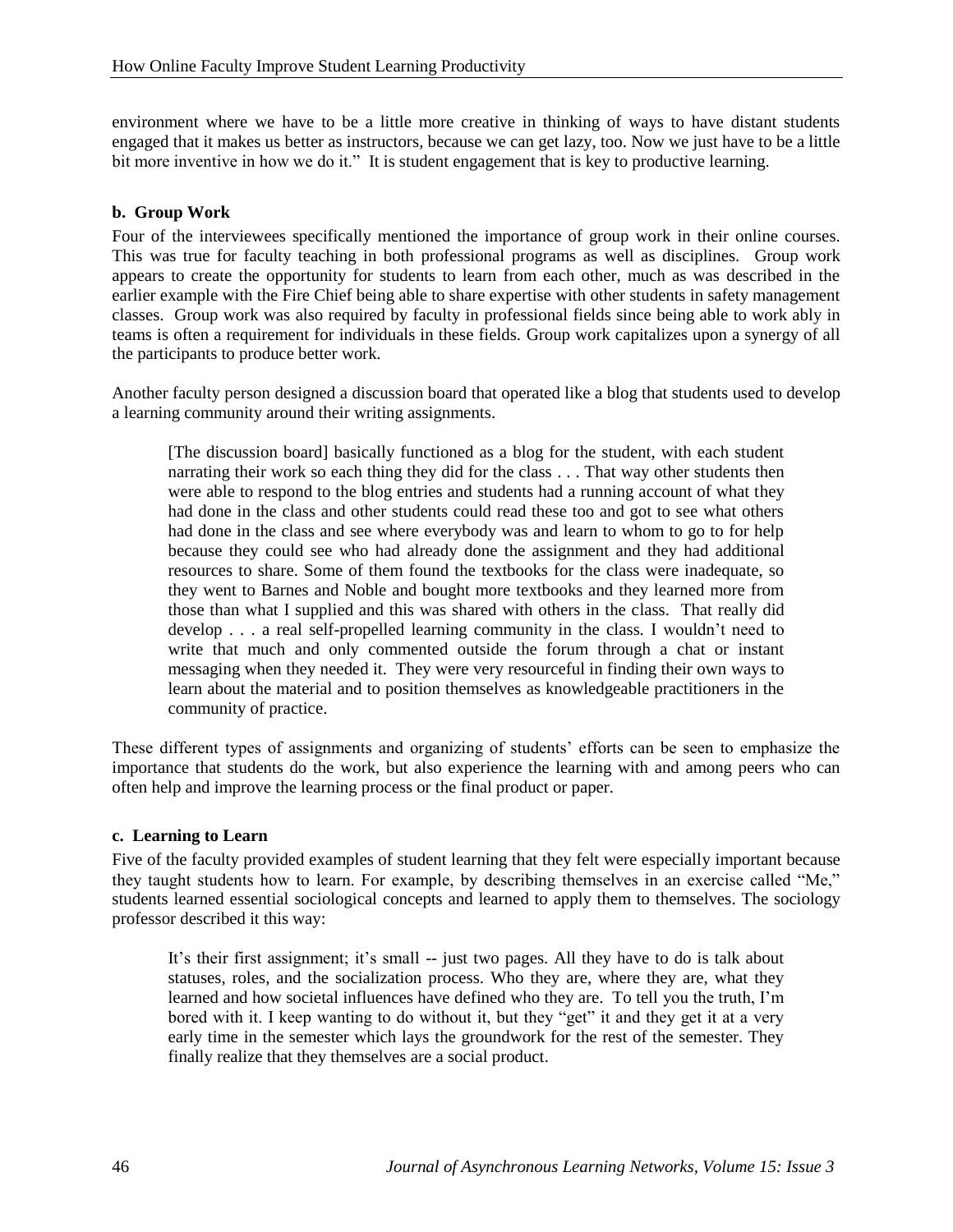environment where we have to be a little more creative in thinking of ways to have distant students engaged that it makes us better as instructors, because we can get lazy, too. Now we just have to be a little bit more inventive in how we do it." It is student engagement that is key to productive learning.

#### **b. Group Work**

Four of the interviewees specifically mentioned the importance of group work in their online courses. This was true for faculty teaching in both professional programs as well as disciplines. Group work appears to create the opportunity for students to learn from each other, much as was described in the earlier example with the Fire Chief being able to share expertise with other students in safety management classes. Group work was also required by faculty in professional fields since being able to work ably in teams is often a requirement for individuals in these fields. Group work capitalizes upon a synergy of all the participants to produce better work.

Another faculty person designed a discussion board that operated like a blog that students used to develop a learning community around their writing assignments.

[The discussion board] basically functioned as a blog for the student, with each student narrating their work so each thing they did for the class . . . That way other students then were able to respond to the blog entries and students had a running account of what they had done in the class and other students could read these too and got to see what others had done in the class and see where everybody was and learn to whom to go to for help because they could see who had already done the assignment and they had additional resources to share. Some of them found the textbooks for the class were inadequate, so they went to Barnes and Noble and bought more textbooks and they learned more from those than what I supplied and this was shared with others in the class. That really did develop . . . a real self-propelled learning community in the class. I wouldn't need to write that much and only commented outside the forum through a chat or instant messaging when they needed it. They were very resourceful in finding their own ways to learn about the material and to position themselves as knowledgeable practitioners in the community of practice.

These different types of assignments and organizing of students' efforts can be seen to emphasize the importance that students do the work, but also experience the learning with and among peers who can often help and improve the learning process or the final product or paper.

#### **c. Learning to Learn**

Five of the faculty provided examples of student learning that they felt were especially important because they taught students how to learn. For example, by describing themselves in an exercise called "Me," students learned essential sociological concepts and learned to apply them to themselves. The sociology professor described it this way:

It's their first assignment; it's small -- just two pages. All they have to do is talk about statuses, roles, and the socialization process. Who they are, where they are, what they learned and how societal influences have defined who they are. To tell you the truth, I'm bored with it. I keep wanting to do without it, but they "get" it and they get it at a very early time in the semester which lays the groundwork for the rest of the semester. They finally realize that they themselves are a social product.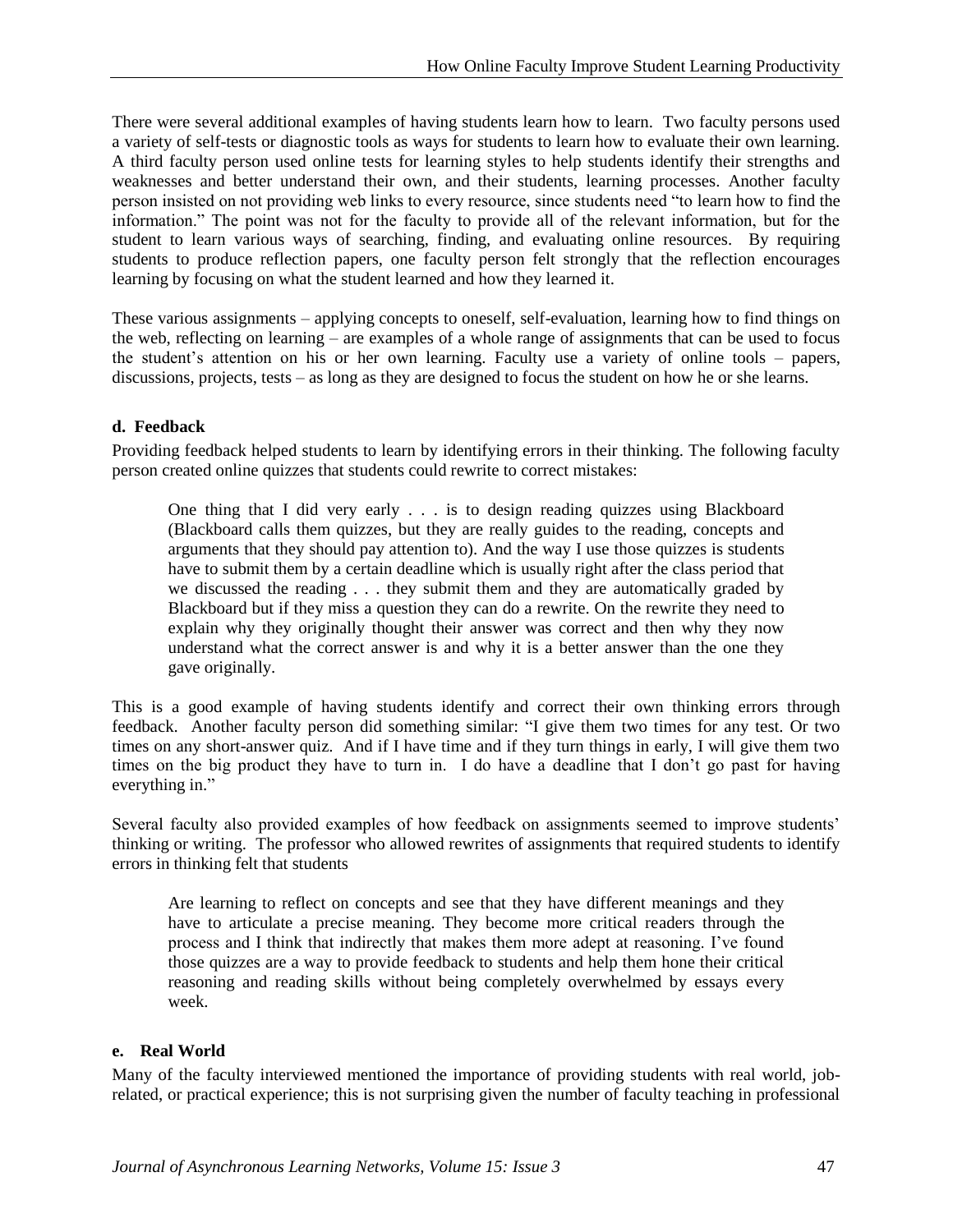There were several additional examples of having students learn how to learn. Two faculty persons used a variety of self-tests or diagnostic tools as ways for students to learn how to evaluate their own learning. A third faculty person used online tests for learning styles to help students identify their strengths and weaknesses and better understand their own, and their students, learning processes. Another faculty person insisted on not providing web links to every resource, since students need "to learn how to find the information." The point was not for the faculty to provide all of the relevant information, but for the student to learn various ways of searching, finding, and evaluating online resources. By requiring students to produce reflection papers, one faculty person felt strongly that the reflection encourages learning by focusing on what the student learned and how they learned it.

These various assignments – applying concepts to oneself, self-evaluation, learning how to find things on the web, reflecting on learning – are examples of a whole range of assignments that can be used to focus the student's attention on his or her own learning. Faculty use a variety of online tools – papers, discussions, projects, tests – as long as they are designed to focus the student on how he or she learns.

#### **d. Feedback**

Providing feedback helped students to learn by identifying errors in their thinking. The following faculty person created online quizzes that students could rewrite to correct mistakes:

One thing that I did very early . . . is to design reading quizzes using Blackboard (Blackboard calls them quizzes, but they are really guides to the reading, concepts and arguments that they should pay attention to). And the way I use those quizzes is students have to submit them by a certain deadline which is usually right after the class period that we discussed the reading . . . they submit them and they are automatically graded by Blackboard but if they miss a question they can do a rewrite. On the rewrite they need to explain why they originally thought their answer was correct and then why they now understand what the correct answer is and why it is a better answer than the one they gave originally.

This is a good example of having students identify and correct their own thinking errors through feedback. Another faculty person did something similar: "I give them two times for any test. Or two times on any short-answer quiz. And if I have time and if they turn things in early, I will give them two times on the big product they have to turn in. I do have a deadline that I don't go past for having everything in."

Several faculty also provided examples of how feedback on assignments seemed to improve students' thinking or writing. The professor who allowed rewrites of assignments that required students to identify errors in thinking felt that students

Are learning to reflect on concepts and see that they have different meanings and they have to articulate a precise meaning. They become more critical readers through the process and I think that indirectly that makes them more adept at reasoning. I've found those quizzes are a way to provide feedback to students and help them hone their critical reasoning and reading skills without being completely overwhelmed by essays every week.

#### **e. Real World**

Many of the faculty interviewed mentioned the importance of providing students with real world, jobrelated, or practical experience; this is not surprising given the number of faculty teaching in professional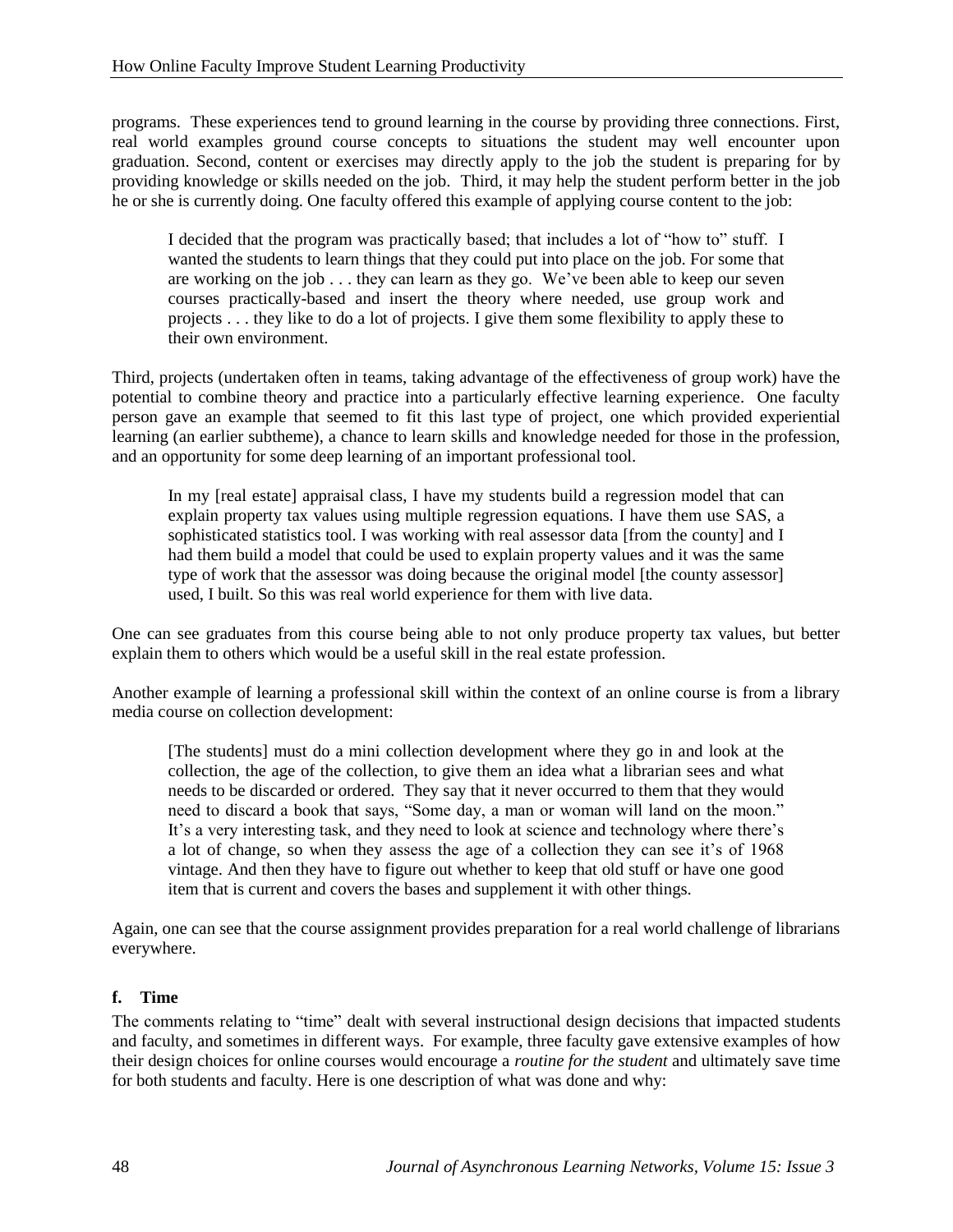programs. These experiences tend to ground learning in the course by providing three connections. First, real world examples ground course concepts to situations the student may well encounter upon graduation. Second, content or exercises may directly apply to the job the student is preparing for by providing knowledge or skills needed on the job. Third, it may help the student perform better in the job he or she is currently doing. One faculty offered this example of applying course content to the job:

I decided that the program was practically based; that includes a lot of "how to" stuff. I wanted the students to learn things that they could put into place on the job. For some that are working on the job . . . they can learn as they go. We've been able to keep our seven courses practically-based and insert the theory where needed, use group work and projects . . . they like to do a lot of projects. I give them some flexibility to apply these to their own environment.

Third, projects (undertaken often in teams, taking advantage of the effectiveness of group work) have the potential to combine theory and practice into a particularly effective learning experience. One faculty person gave an example that seemed to fit this last type of project, one which provided experiential learning (an earlier subtheme), a chance to learn skills and knowledge needed for those in the profession, and an opportunity for some deep learning of an important professional tool.

In my [real estate] appraisal class, I have my students build a regression model that can explain property tax values using multiple regression equations. I have them use SAS, a sophisticated statistics tool. I was working with real assessor data [from the county] and I had them build a model that could be used to explain property values and it was the same type of work that the assessor was doing because the original model [the county assessor] used, I built. So this was real world experience for them with live data.

One can see graduates from this course being able to not only produce property tax values, but better explain them to others which would be a useful skill in the real estate profession.

Another example of learning a professional skill within the context of an online course is from a library media course on collection development:

[The students] must do a mini collection development where they go in and look at the collection, the age of the collection, to give them an idea what a librarian sees and what needs to be discarded or ordered. They say that it never occurred to them that they would need to discard a book that says, "Some day, a man or woman will land on the moon." It's a very interesting task, and they need to look at science and technology where there's a lot of change, so when they assess the age of a collection they can see it's of 1968 vintage. And then they have to figure out whether to keep that old stuff or have one good item that is current and covers the bases and supplement it with other things.

Again, one can see that the course assignment provides preparation for a real world challenge of librarians everywhere.

#### **f. Time**

The comments relating to "time" dealt with several instructional design decisions that impacted students and faculty, and sometimes in different ways. For example, three faculty gave extensive examples of how their design choices for online courses would encourage a *routine for the student* and ultimately save time for both students and faculty. Here is one description of what was done and why: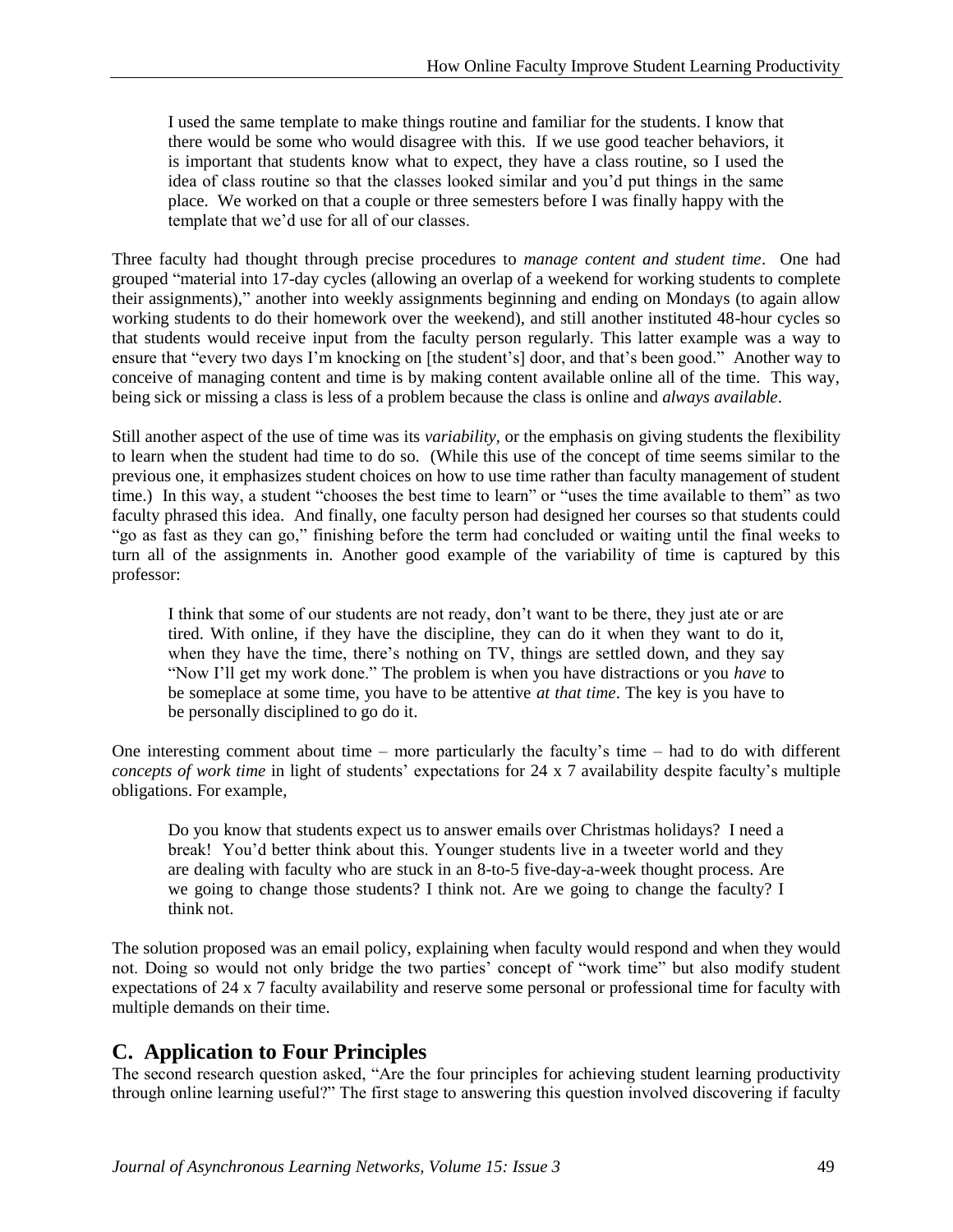I used the same template to make things routine and familiar for the students. I know that there would be some who would disagree with this. If we use good teacher behaviors, it is important that students know what to expect, they have a class routine, so I used the idea of class routine so that the classes looked similar and you'd put things in the same place. We worked on that a couple or three semesters before I was finally happy with the template that we'd use for all of our classes.

Three faculty had thought through precise procedures to *manage content and student time*. One had grouped "material into 17-day cycles (allowing an overlap of a weekend for working students to complete their assignments)," another into weekly assignments beginning and ending on Mondays (to again allow working students to do their homework over the weekend), and still another instituted 48-hour cycles so that students would receive input from the faculty person regularly. This latter example was a way to ensure that "every two days I'm knocking on [the student's] door, and that's been good." Another way to conceive of managing content and time is by making content available online all of the time. This way, being sick or missing a class is less of a problem because the class is online and *always available*.

Still another aspect of the use of time was its *variability,* or the emphasis on giving students the flexibility to learn when the student had time to do so. (While this use of the concept of time seems similar to the previous one, it emphasizes student choices on how to use time rather than faculty management of student time.) In this way, a student "chooses the best time to learn" or "uses the time available to them" as two faculty phrased this idea. And finally, one faculty person had designed her courses so that students could "go as fast as they can go," finishing before the term had concluded or waiting until the final weeks to turn all of the assignments in. Another good example of the variability of time is captured by this professor:

I think that some of our students are not ready, don't want to be there, they just ate or are tired. With online, if they have the discipline, they can do it when they want to do it, when they have the time, there's nothing on TV, things are settled down, and they say "Now I'll get my work done." The problem is when you have distractions or you *have* to be someplace at some time, you have to be attentive *at that time*. The key is you have to be personally disciplined to go do it.

One interesting comment about time – more particularly the faculty's time – had to do with different *concepts of work time* in light of students' expectations for 24 x 7 availability despite faculty's multiple obligations. For example,

Do you know that students expect us to answer emails over Christmas holidays? I need a break! You'd better think about this. Younger students live in a tweeter world and they are dealing with faculty who are stuck in an 8-to-5 five-day-a-week thought process. Are we going to change those students? I think not. Are we going to change the faculty? I think not.

The solution proposed was an email policy, explaining when faculty would respond and when they would not. Doing so would not only bridge the two parties' concept of "work time" but also modify student expectations of 24 x 7 faculty availability and reserve some personal or professional time for faculty with multiple demands on their time.

### **C. Application to Four Principles**

The second research question asked, "Are the four principles for achieving student learning productivity through online learning useful?" The first stage to answering this question involved discovering if faculty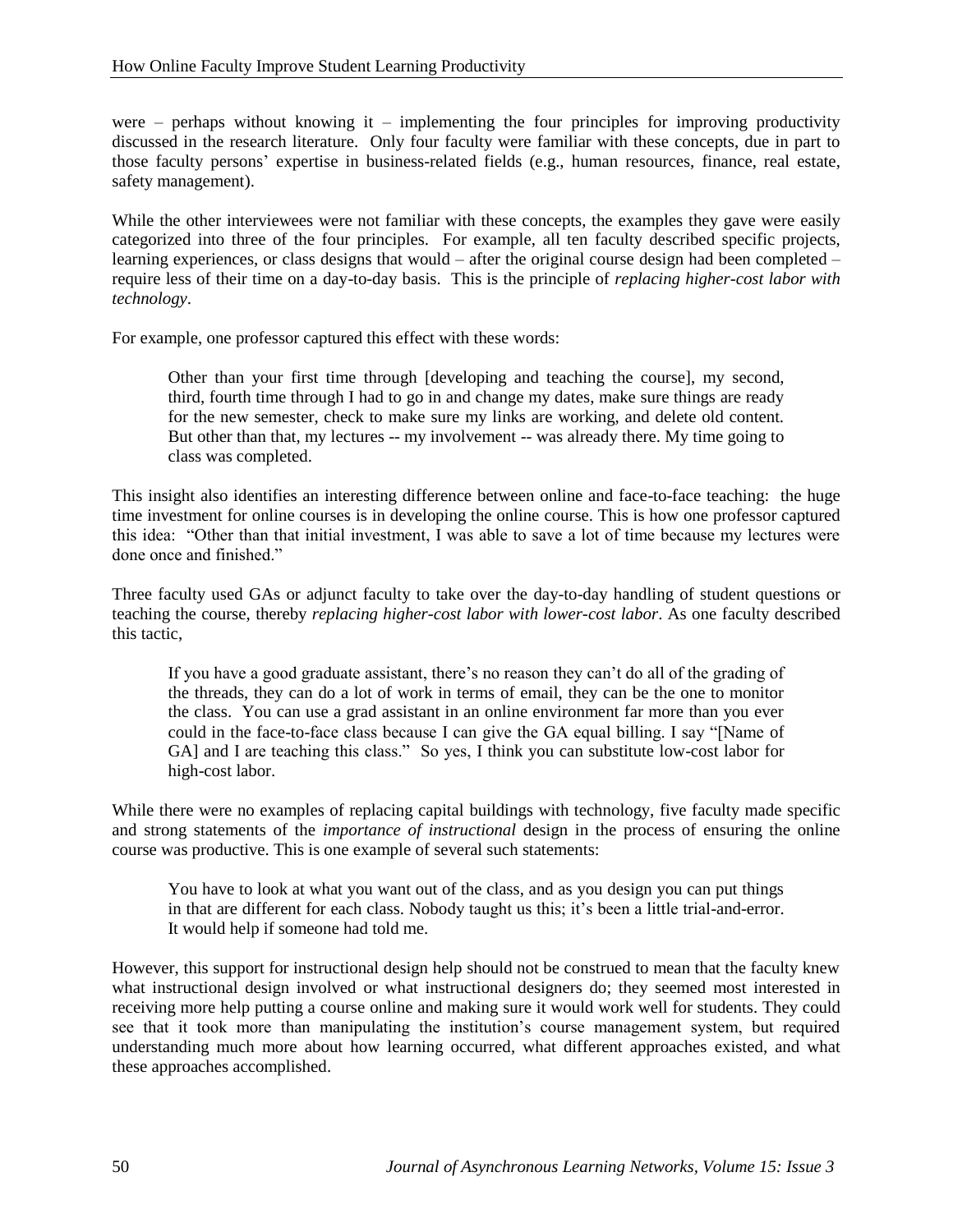were – perhaps without knowing it – implementing the four principles for improving productivity discussed in the research literature. Only four faculty were familiar with these concepts, due in part to those faculty persons' expertise in business-related fields (e.g., human resources, finance, real estate, safety management).

While the other interviewees were not familiar with these concepts, the examples they gave were easily categorized into three of the four principles. For example, all ten faculty described specific projects, learning experiences, or class designs that would – after the original course design had been completed – require less of their time on a day-to-day basis. This is the principle of *replacing higher-cost labor with technology*.

For example, one professor captured this effect with these words:

Other than your first time through [developing and teaching the course], my second, third, fourth time through I had to go in and change my dates, make sure things are ready for the new semester, check to make sure my links are working, and delete old content. But other than that, my lectures -- my involvement -- was already there. My time going to class was completed.

This insight also identifies an interesting difference between online and face-to-face teaching: the huge time investment for online courses is in developing the online course. This is how one professor captured this idea: "Other than that initial investment, I was able to save a lot of time because my lectures were done once and finished."

Three faculty used GAs or adjunct faculty to take over the day-to-day handling of student questions or teaching the course, thereby *replacing higher-cost labor with lower-cost labor*. As one faculty described this tactic,

If you have a good graduate assistant, there's no reason they can't do all of the grading of the threads, they can do a lot of work in terms of email, they can be the one to monitor the class. You can use a grad assistant in an online environment far more than you ever could in the face-to-face class because I can give the GA equal billing. I say "[Name of GA] and I are teaching this class." So yes, I think you can substitute low-cost labor for high-cost labor.

While there were no examples of replacing capital buildings with technology, five faculty made specific and strong statements of the *importance of instructional* design in the process of ensuring the online course was productive. This is one example of several such statements:

You have to look at what you want out of the class, and as you design you can put things in that are different for each class. Nobody taught us this; it's been a little trial-and-error. It would help if someone had told me.

However, this support for instructional design help should not be construed to mean that the faculty knew what instructional design involved or what instructional designers do; they seemed most interested in receiving more help putting a course online and making sure it would work well for students. They could see that it took more than manipulating the institution's course management system, but required understanding much more about how learning occurred, what different approaches existed, and what these approaches accomplished.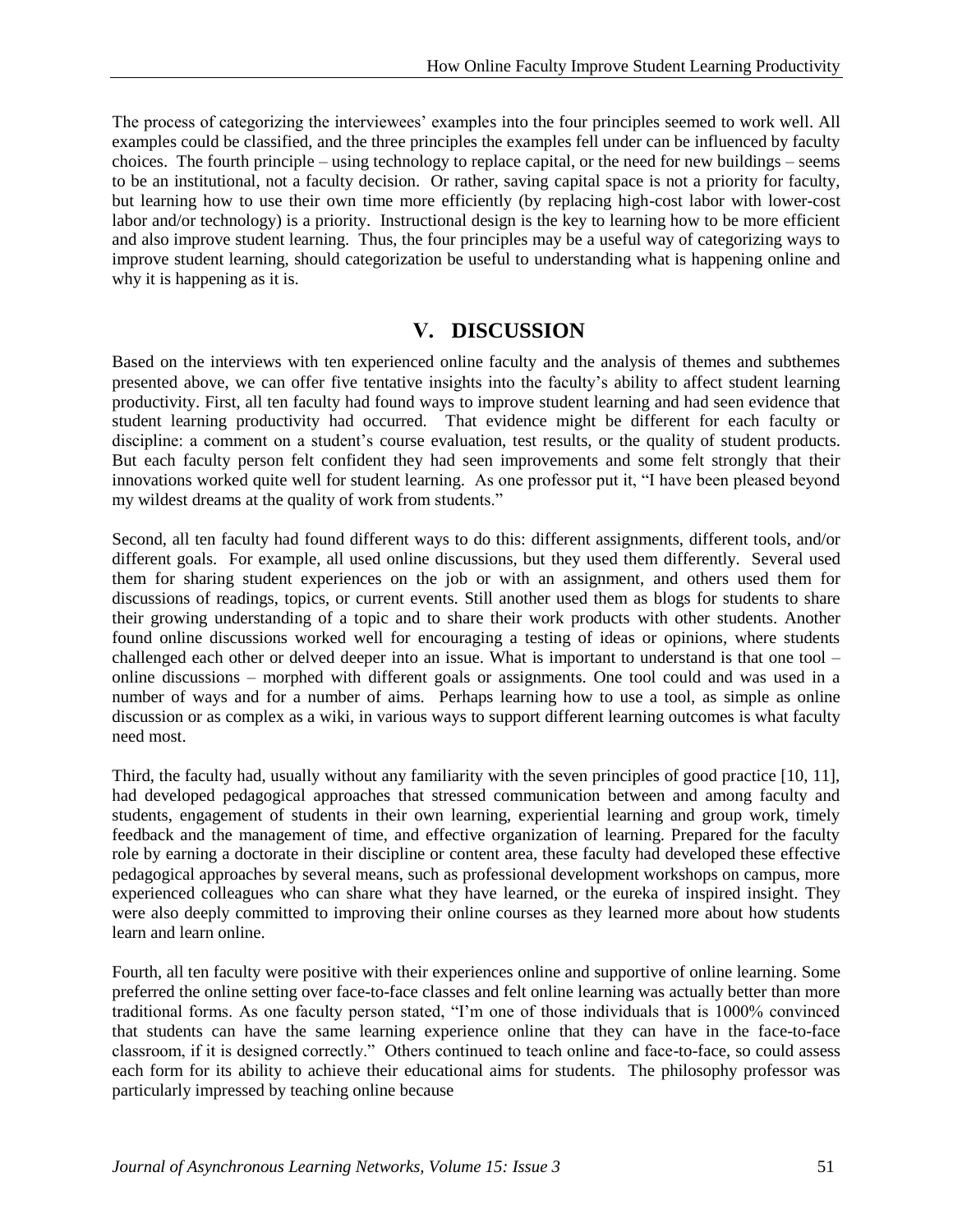The process of categorizing the interviewees' examples into the four principles seemed to work well. All examples could be classified, and the three principles the examples fell under can be influenced by faculty choices. The fourth principle – using technology to replace capital, or the need for new buildings – seems to be an institutional, not a faculty decision. Or rather, saving capital space is not a priority for faculty, but learning how to use their own time more efficiently (by replacing high-cost labor with lower-cost labor and/or technology) is a priority. Instructional design is the key to learning how to be more efficient and also improve student learning. Thus, the four principles may be a useful way of categorizing ways to improve student learning, should categorization be useful to understanding what is happening online and why it is happening as it is.

### **V. DISCUSSION**

Based on the interviews with ten experienced online faculty and the analysis of themes and subthemes presented above, we can offer five tentative insights into the faculty's ability to affect student learning productivity. First, all ten faculty had found ways to improve student learning and had seen evidence that student learning productivity had occurred. That evidence might be different for each faculty or discipline: a comment on a student's course evaluation, test results, or the quality of student products. But each faculty person felt confident they had seen improvements and some felt strongly that their innovations worked quite well for student learning. As one professor put it, "I have been pleased beyond my wildest dreams at the quality of work from students."

Second, all ten faculty had found different ways to do this: different assignments, different tools, and/or different goals. For example, all used online discussions, but they used them differently. Several used them for sharing student experiences on the job or with an assignment, and others used them for discussions of readings, topics, or current events. Still another used them as blogs for students to share their growing understanding of a topic and to share their work products with other students. Another found online discussions worked well for encouraging a testing of ideas or opinions, where students challenged each other or delved deeper into an issue. What is important to understand is that one tool – online discussions – morphed with different goals or assignments. One tool could and was used in a number of ways and for a number of aims. Perhaps learning how to use a tool, as simple as online discussion or as complex as a wiki, in various ways to support different learning outcomes is what faculty need most.

Third, the faculty had, usually without any familiarity with the seven principles of good practice [10, 11], had developed pedagogical approaches that stressed communication between and among faculty and students, engagement of students in their own learning, experiential learning and group work, timely feedback and the management of time, and effective organization of learning. Prepared for the faculty role by earning a doctorate in their discipline or content area, these faculty had developed these effective pedagogical approaches by several means, such as professional development workshops on campus, more experienced colleagues who can share what they have learned, or the eureka of inspired insight. They were also deeply committed to improving their online courses as they learned more about how students learn and learn online.

Fourth, all ten faculty were positive with their experiences online and supportive of online learning. Some preferred the online setting over face-to-face classes and felt online learning was actually better than more traditional forms. As one faculty person stated, "I'm one of those individuals that is 1000% convinced that students can have the same learning experience online that they can have in the face-to-face classroom, if it is designed correctly." Others continued to teach online and face-to-face, so could assess each form for its ability to achieve their educational aims for students. The philosophy professor was particularly impressed by teaching online because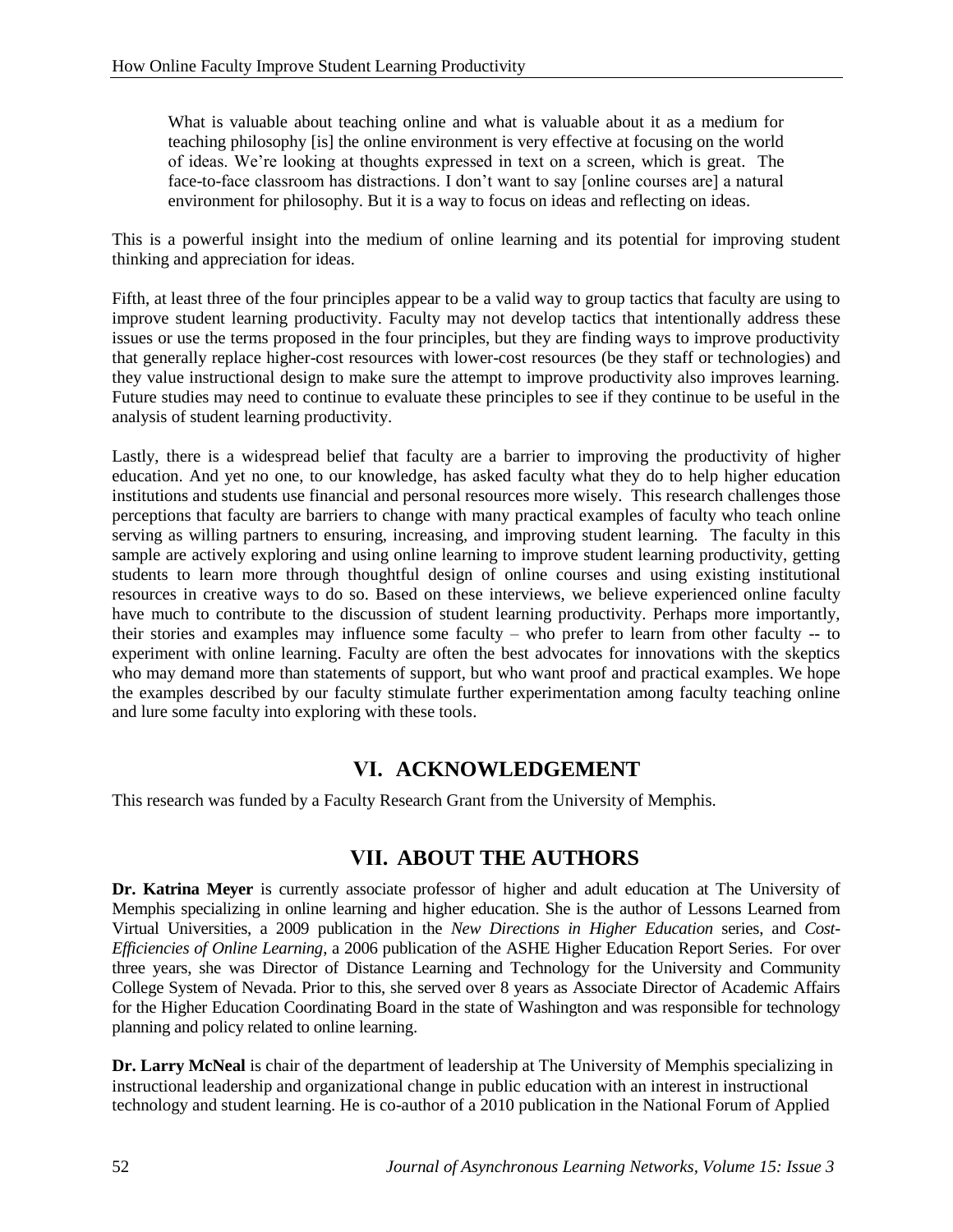What is valuable about teaching online and what is valuable about it as a medium for teaching philosophy [is] the online environment is very effective at focusing on the world of ideas. We're looking at thoughts expressed in text on a screen, which is great. The face-to-face classroom has distractions. I don't want to say [online courses are] a natural environment for philosophy. But it is a way to focus on ideas and reflecting on ideas.

This is a powerful insight into the medium of online learning and its potential for improving student thinking and appreciation for ideas.

Fifth, at least three of the four principles appear to be a valid way to group tactics that faculty are using to improve student learning productivity. Faculty may not develop tactics that intentionally address these issues or use the terms proposed in the four principles, but they are finding ways to improve productivity that generally replace higher-cost resources with lower-cost resources (be they staff or technologies) and they value instructional design to make sure the attempt to improve productivity also improves learning. Future studies may need to continue to evaluate these principles to see if they continue to be useful in the analysis of student learning productivity.

Lastly, there is a widespread belief that faculty are a barrier to improving the productivity of higher education. And yet no one, to our knowledge, has asked faculty what they do to help higher education institutions and students use financial and personal resources more wisely. This research challenges those perceptions that faculty are barriers to change with many practical examples of faculty who teach online serving as willing partners to ensuring, increasing, and improving student learning. The faculty in this sample are actively exploring and using online learning to improve student learning productivity, getting students to learn more through thoughtful design of online courses and using existing institutional resources in creative ways to do so. Based on these interviews, we believe experienced online faculty have much to contribute to the discussion of student learning productivity. Perhaps more importantly, their stories and examples may influence some faculty – who prefer to learn from other faculty -- to experiment with online learning. Faculty are often the best advocates for innovations with the skeptics who may demand more than statements of support, but who want proof and practical examples. We hope the examples described by our faculty stimulate further experimentation among faculty teaching online and lure some faculty into exploring with these tools.

### **VI. ACKNOWLEDGEMENT**

This research was funded by a Faculty Research Grant from the University of Memphis.

# **VII. ABOUT THE AUTHORS**

**Dr. Katrina Meyer** is currently associate professor of higher and adult education at The University of Memphis specializing in online learning and higher education. She is the author of Lessons Learned from Virtual Universities, a 2009 publication in the *New Directions in Higher Education* series, and *Cost-Efficiencies of Online Learning*, a 2006 publication of the ASHE Higher Education Report Series. For over three years, she was Director of Distance Learning and Technology for the University and Community College System of Nevada. Prior to this, she served over 8 years as Associate Director of Academic Affairs for the Higher Education Coordinating Board in the state of Washington and was responsible for technology planning and policy related to online learning.

**Dr. Larry McNeal** is chair of the department of leadership at The University of Memphis specializing in instructional leadership and organizational change in public education with an interest in instructional technology and student learning. He is co-author of a 2010 publication in the National Forum of Applied